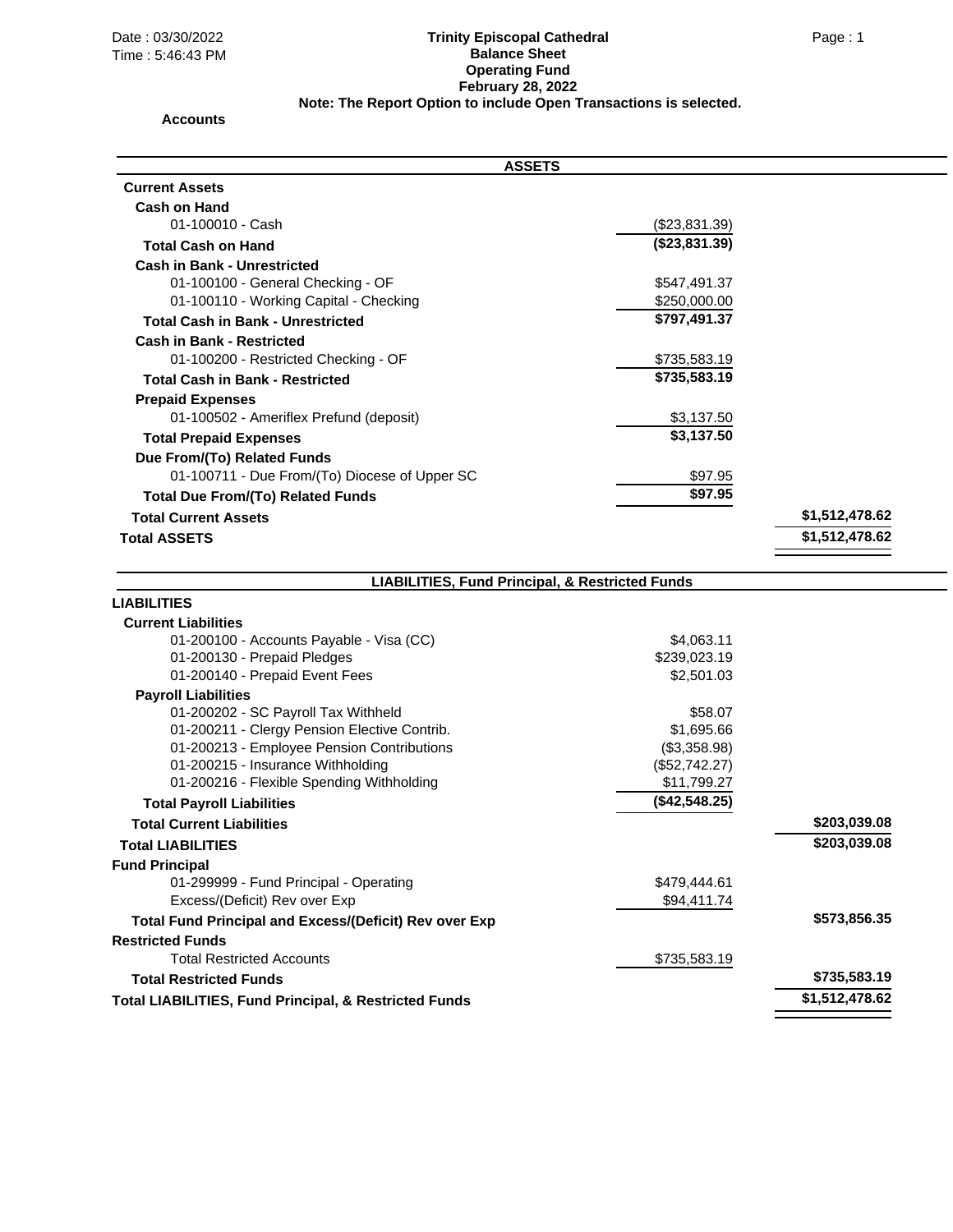## Date : 03/30/2022 Page : 1 **Trinity Episcopal Cathedral Balance Sheet Operating Fund February 28, 2022 Note: The Report Option to include Open Transactions is selected.**

## **Accounts**

| <b>ASSETS</b>                                                    |               |                |
|------------------------------------------------------------------|---------------|----------------|
| <b>Current Assets</b>                                            |               |                |
| <b>Cash on Hand</b>                                              |               |                |
| 01-100010 - Cash                                                 | (\$23,831.39) |                |
| <b>Total Cash on Hand</b>                                        | (\$23,831.39) |                |
| <b>Cash in Bank - Unrestricted</b>                               |               |                |
| 01-100100 - General Checking - OF                                | \$547,491.37  |                |
| 01-100110 - Working Capital - Checking                           | \$250,000.00  |                |
| <b>Total Cash in Bank - Unrestricted</b>                         | \$797,491.37  |                |
| <b>Cash in Bank - Restricted</b>                                 |               |                |
| 01-100200 - Restricted Checking - OF                             | \$735,583.19  |                |
| <b>Total Cash in Bank - Restricted</b>                           | \$735,583.19  |                |
| <b>Prepaid Expenses</b>                                          |               |                |
| 01-100502 - Ameriflex Prefund (deposit)                          | \$3,137.50    |                |
| <b>Total Prepaid Expenses</b>                                    | \$3,137.50    |                |
| Due From/(To) Related Funds                                      |               |                |
| 01-100711 - Due From/(To) Diocese of Upper SC                    | \$97.95       |                |
| <b>Total Due From/(To) Related Funds</b>                         | \$97.95       |                |
| <b>Total Current Assets</b>                                      |               | \$1,512,478.62 |
| <b>Total ASSETS</b>                                              |               | \$1,512,478.62 |
|                                                                  |               |                |
| <b>LIABILITIES, Fund Principal, &amp; Restricted Funds</b>       |               |                |
| LIABILITIES                                                      |               |                |
| <b>Current Liabilities</b>                                       |               |                |
| 01-200100 - Accounts Payable - Visa (CC)                         | \$4,063.11    |                |
| 01-200130 - Prepaid Pledges                                      | \$239,023.19  |                |
| 01-200140 - Prepaid Event Fees                                   | \$2,501.03    |                |
| <b>Payroll Liabilities</b>                                       |               |                |
| 01-200202 - SC Payroll Tax Withheld                              | \$58.07       |                |
| 01-200211 - Clergy Pension Elective Contrib.                     | \$1,695.66    |                |
| 01-200213 - Employee Pension Contributions                       | (\$3,358.98)  |                |
| 01-200215 - Insurance Withholding                                | (\$52,742.27) |                |
| 01-200216 - Flexible Spending Withholding                        | \$11,799.27   |                |
| <b>Total Payroll Liabilities</b>                                 | (\$42,548.25) |                |
| <b>Total Current Liabilities</b>                                 |               | \$203,039.08   |
| <b>Total LIABILITIES</b>                                         |               | \$203,039.08   |
| <b>Fund Principal</b>                                            |               |                |
| 01-299999 - Fund Principal - Operating                           | \$479,444.61  |                |
| Excess/(Deficit) Rev over Exp                                    | \$94,411.74   |                |
| <b>Total Fund Principal and Excess/(Deficit) Rev over Exp</b>    |               | \$573,856.35   |
| <b>Restricted Funds</b>                                          |               |                |
| <b>Total Restricted Accounts</b>                                 | \$735,583.19  |                |
| <b>Total Restricted Funds</b>                                    |               | \$735,583.19   |
| <b>Total LIABILITIES, Fund Principal, &amp; Restricted Funds</b> |               | \$1,512,478.62 |
|                                                                  |               |                |